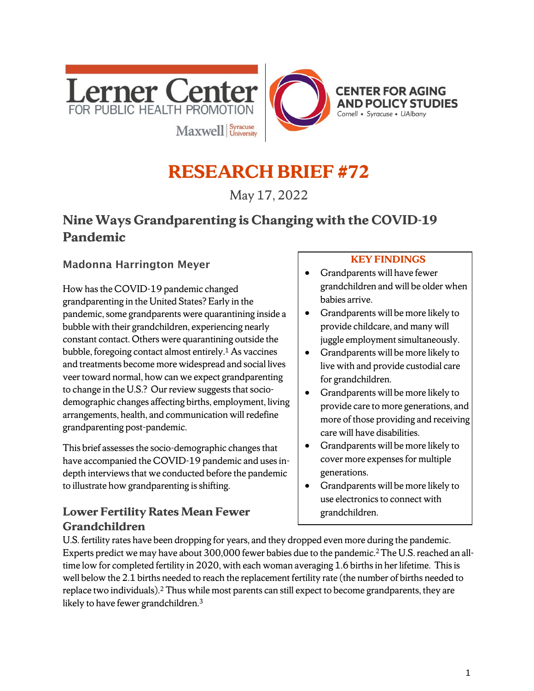

# **RESEARCH BRIEF #72**

May 17, 2022

# **Nine Ways Grandparenting is Changing with the COVID-19 Pandemic**

#### Madonna Harrington Meyer

How has the COVID-19 pandemic changed grandparenting in the United States? Early in the pandemic, some grandparents were quarantining inside a bubble with their grandchildren, experiencing nearly constant contact. Others were quarantining outside the bubble, foregoing contact almost entirely.1 As vaccines and treatments become more widespread and social lives veer toward normal, how can we expect grandparenting to change in the U.S.? Our review suggests that sociodemographic changes affecting births, employment, living arrangements, health, and communication will redefine grandparenting post-pandemic.

This brief assesses the socio-demographic changes that have accompanied the COVID-19 pandemic and uses indepth interviews that we conducted before the pandemic to illustrate how grandparenting is shifting.

#### **Lower Fertility Rates Mean Fewer Grandchildren**

#### **KEY FINDINGS**

- Grandparents will have fewer grandchildren and will be older when babies arrive.
- Grandparents will be more likely to provide childcare, and many will juggle employment simultaneously.
- Grandparents will be more likely to live with and provide custodial care for grandchildren.
- Grandparents will be more likely to provide care to more generations, and more of those providing and receiving care will have disabilities.
- Grandparents will be more likely to cover more expenses for multiple generations.
- Grandparents will be more likely to use electronics to connect with grandchildren.

U.S. fertility rates have been dropping for years, and they dropped even more during the pandemic. Experts predict we may have about 300,000 fewer babies due to the pandemic.2The U.S. reached an alltime low for completed fertility in 2020, with each woman averaging 1.6 births in her lifetime. This is well below the 2.1 births needed to reach the replacement fertility rate (the number of births needed to replace two individuals). <sup>2</sup> Thus while most parents can still expect to become grandparents, they are likely to have fewer grandchildren.<sup>3</sup>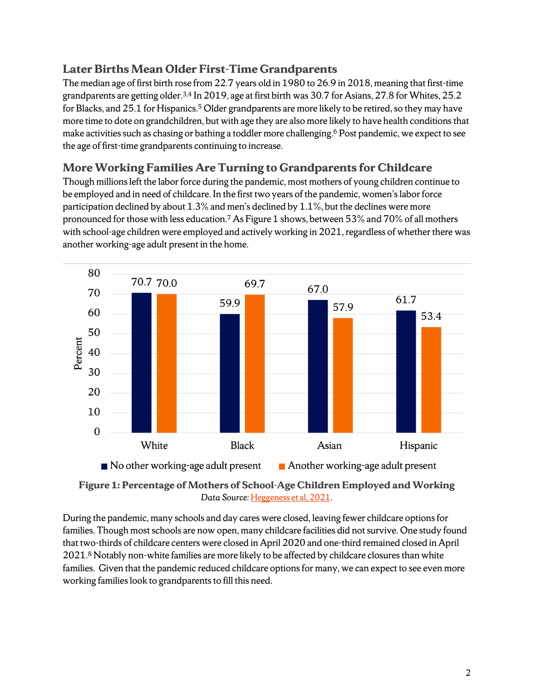#### **Later Births Mean Older First-Time Grandparents**

The median age of first birth rose from 22.7 years old in 1980 to 26.9 in 2018, meaning that first-time grandparents are getting older.3,4 In 2019, age at first birth was 30.7 for Asians, 27.8 for Whites, 25.2 for Blacks, and 25.1 for Hispanics.<sup>5</sup> Older grandparents are more likely to be retired, so they may have more time to dote on grandchildren, but with age they are also more likely to have health conditions that make activities such as chasing or bathing a toddler more challenging.<sup>6</sup> Post pandemic, we expect to see the age of first-time grandparents continuing to increase.

## **More Working Families Are Turning to Grandparents for Childcare**

Though millions left the labor force during the pandemic, most mothers of young children continue to be employed and in need of childcare. In the first two years of the pandemic, women's labor force participation declined by about 1.3% and men's declined by 1.1%, but the declines were more pronounced for those with less education.7 As Figure 1 shows, between 53% and 70% of all mothers with school-age children were employed and actively working in 2021, regardless of whether there was another working-age adult present in the home.





During the pandemic, many schools and day cares were closed, leaving fewer childcare options for families. Though most schools are now open, many childcare facilities did not survive. One study found that two-thirds of childcare centers were closed in April 2020 and one-third remained closed in April 2021.8 Notably non-white families are more likely to be affected by childcare closures than white families. Given that the pandemic reduced childcare options for many, we can expect to see even more working families look to grandparents to fill this need.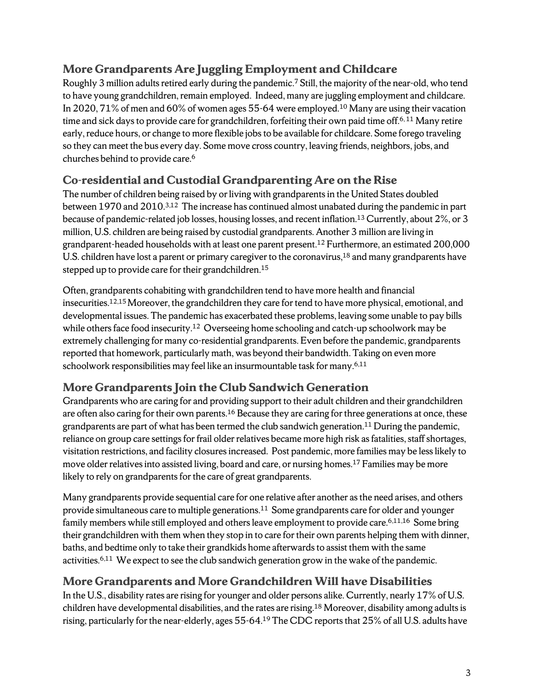## **More Grandparents Are Juggling Employment and Childcare**

Roughly 3 million adults retired early during the pandemic.7 Still, the majority of the near-old, who tend to have young grandchildren, remain employed. Indeed, many are juggling employment and childcare. In 2020, 71% of men and 60% of women ages 55-64 were employed. <sup>10</sup> Many are using their vacation time and sick days to provide care for grandchildren, forfeiting their own paid time off.<sup>6,11</sup> Many retire early, reduce hours, or change to more flexible jobs to be available for childcare. Some forego traveling so they can meet the bus every day. Some move cross country, leaving friends, neighbors, jobs, and churches behind to provide care.6

## **Co-residential and Custodial Grandparenting Are on the Rise**

The number of children being raised by or living with grandparents in the United States doubled between 1970 and 2010.3,12 The increase has continued almost unabated during the pandemic in part because of pandemic-related job losses, housing losses, and recent inflation.13 Currently, about 2%, or 3 million,U.S. children are being raised by custodial grandparents. Another 3 million are living in grandparent-headed households with at least one parent present.12 Furthermore, an estimated 200,000 U.S. children have lost a parent or primary caregiver to the coronavirus, $^{18}$  and many grandparents have stepped up to provide care for their grandchildren.<sup>15</sup>

Often, grandparents cohabiting with grandchildren tend to have more health and financial insecurities.12,15 Moreover, the grandchildren they care for tend to have more physical, emotional, and developmental issues. The pandemic has exacerbated these problems, leaving some unable to pay bills while others face food insecurity.<sup>12</sup> Overseeing home schooling and catch-up schoolwork may be extremely challenging for many co-residential grandparents. Even before the pandemic, grandparents reported that homework, particularly math, was beyond their bandwidth. Taking on even more schoolwork responsibilities may feel like an insurmountable task for many.<sup>6,11</sup>

## **More Grandparents Join the Club Sandwich Generation**

Grandparents who are caring for and providing support to their adult children and their grandchildren are often also caring for their own parents.<sup>16</sup> Because they are caring for three generations at once, these grandparents are part of what has been termed the club sandwich generation. <sup>11</sup> During the pandemic, reliance on group care settingsfor frail older relatives became more high risk as fatalities, staff shortages, visitation restrictions, and facility closures increased. Post pandemic, more families may be less likely to move older relatives into assisted living, board and care, or nursing homes.<sup>17</sup> Families may be more likely to rely on grandparents for the care of great grandparents.

Many grandparents provide sequential care for one relative after another as the need arises, and others provide simultaneous care to multiple generations.<sup>11</sup> Some grandparents care for older and younger family members while still employed and others leave employment to provide care.<sup>6,11,16</sup> Some bring their grandchildren with them when they stop in to care for their own parents helping them with dinner, baths, and bedtime only to take their grandkids home afterwards to assist them with the same activities.<sup>6,11</sup> We expect to see the club sandwich generation grow in the wake of the pandemic.

## **More Grandparents and More Grandchildren Will have Disabilities**

In the U.S., disability rates are rising for younger and older persons alike. Currently, nearly 17% of U.S. children have developmental disabilities, and the rates are rising.18 Moreover, disability among adults is rising, particularly for the near-elderly, ages 55-64.19 The CDC reports that 25% of all U.S. adults have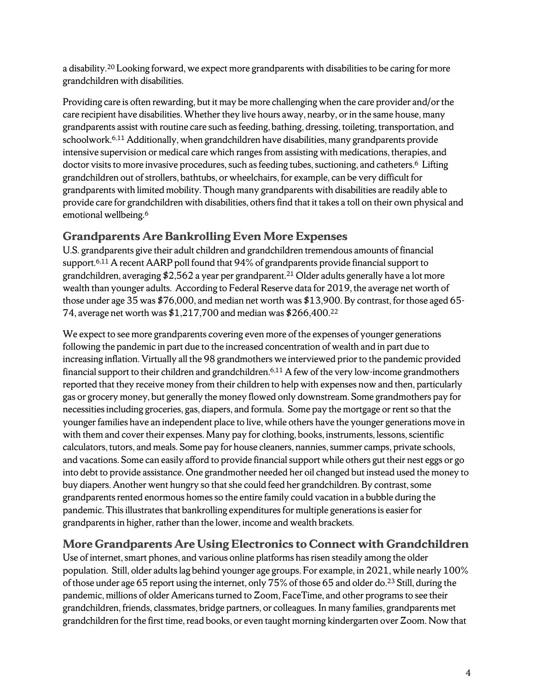a disability.20 Looking forward, we expect more grandparents with disabilities to be caring for more grandchildren with disabilities.

Providing care is often rewarding, but it may be more challenging when the care provider and/or the care recipient have disabilities. Whether they live hours away, nearby, or in the same house, many grandparents assist with routine care such as feeding, bathing, dressing, toileting, transportation, and schoolwork.<sup>6,11</sup> Additionally, when grandchildren have disabilities, many grandparents provide intensive supervision or medical care which rangesfrom assisting with medications, therapies, and doctor visits to more invasive procedures, such as feeding tubes, suctioning, and catheters.<sup>6</sup> Lifting grandchildren out of strollers, bathtubs, or wheelchairs, for example, can be very difficult for grandparents with limited mobility. Though many grandparents with disabilities are readily able to provide care for grandchildren with disabilities, others find that it takes a toll on their own physical and emotional wellbeing.6

#### **Grandparents Are Bankrolling Even More Expenses**

U.S. grandparents give their adult children and grandchildren tremendous amounts of financial support.6,11 A recent AARP poll found that 94% of grandparents provide financial support to grandchildren, averaging \$2,562 a year per grandparent. <sup>21</sup> Older adults generally have a lot more wealth than younger adults. According to Federal Reserve data for 2019, the average net worth of those under age 35 was \$76,000, and median net worth was \$13,900. By contrast, for those aged 65- 74, average net worth was \$1,217,700 and median was \$266,400.22

We expect to see more grandparents covering even more of the expenses of younger generations following the pandemic in part due to the increased concentration of wealth and in part due to increasing inflation. Virtually all the 98 grandmothers we interviewed prior to the pandemic provided financial support to their children and grandchildren.<sup>6,11</sup> A few of the very low-income grandmothers reported that they receive money from their children to help with expenses now and then, particularly gas or grocery money, but generally the money flowed only downstream. Some grandmothers pay for necessities including groceries, gas, diapers, and formula. Some pay the mortgage or rent so that the younger families have an independent place to live, while others have the younger generations move in with them and cover their expenses. Many pay for clothing, books, instruments, lessons, scientific calculators, tutors, and meals. Some pay for house cleaners, nannies, summer camps, private schools, and vacations. Some can easily afford to provide financial support while others gut their nest eggs or go into debt to provide assistance. One grandmother needed her oil changed but instead used the money to buy diapers. Another went hungry so that she could feed her grandchildren. By contrast, some grandparents rented enormous homes so the entire family could vacation in a bubble during the pandemic. This illustrates that bankrolling expenditures for multiple generations is easier for grandparents in higher, rather than the lower, income and wealth brackets.

## **More Grandparents Are Using Electronics to Connect with Grandchildren**

Use of internet, smart phones, and various online platforms has risen steadily among the older population. Still, older adults lag behind younger age groups. For example, in 2021, while nearly 100% of those under age 65 report using the internet, only 75% of those 65 and older do.23 Still, during the pandemic, millions of older Americans turned to Zoom, FaceTime, and other programs to see their grandchildren, friends, classmates, bridge partners, or colleagues. In many families, grandparents met grandchildren for the first time, read books, or even taught morning kindergarten over Zoom. Now that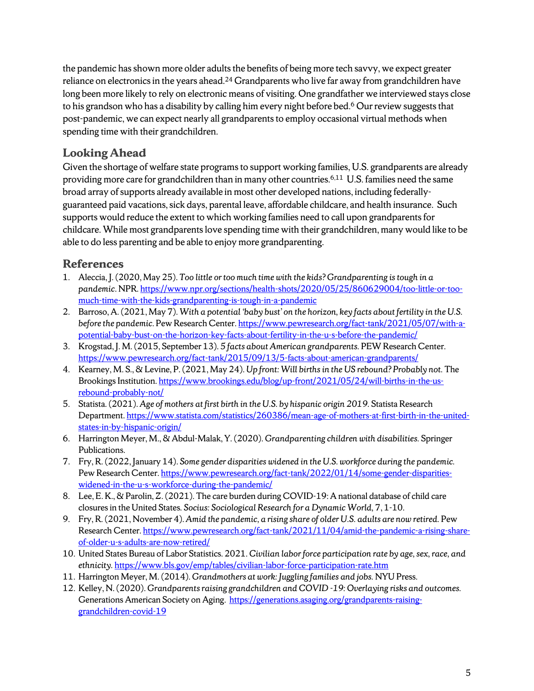the pandemic has shown more older adults the benefits of being more tech savvy, we expect greater reliance on electronics in the years ahead.<sup>24</sup> Grandparents who live far away from grandchildren have long been more likely to rely on electronic means of visiting. One grandfather we interviewed stays close to his grandson who has a disability by calling him every night before bed.<sup>6</sup> Our review suggests that post-pandemic, we can expect nearly all grandparents to employ occasional virtual methods when spending time with their grandchildren.

## **Looking Ahead**

Given the shortage of welfare state programs to support working families, U.S. grandparents are already providing more care for grandchildren than in many other countries.6,11 U.S. families need the same broad array of supports already available in most other developed nations, including federallyguaranteed paid vacations, sick days, parental leave, affordable childcare, and health insurance. Such supports would reduce the extent to which working families need to call upon grandparents for childcare. While most grandparents love spending time with their grandchildren, many would like to be able to do less parenting and be able to enjoy more grandparenting.

## **References**

- 1. Aleccia, J. (2020, May 25). *Too little or too much time with the kids? Grandparenting is tough in a pandemic*. NPR[. https://www.npr.org/sections/health-shots/2020/05/25/860629004/too-little-or-too](https://www.npr.org/sections/health-shots/2020/05/25/860629004/too-little-or-too-much-time-with-the-kids-grandparenting-is-tough-in-a-pandemic)[much-time-with-the-kids-grandparenting-is-tough-in-a-pandemic](https://www.npr.org/sections/health-shots/2020/05/25/860629004/too-little-or-too-much-time-with-the-kids-grandparenting-is-tough-in-a-pandemic)
- 2. Barroso, A. (2021, May 7). *With a potential 'baby bust' on the horizon, key facts about fertility in the U.S. before the pandemic*. Pew Research Center[. https://www.pewresearch.org/fact-tank/2021/05/07/with-a](https://www.pewresearch.org/fact-tank/2021/05/07/with-a-potential-baby-bust-on-the-horizon-key-facts-about-fertility-in-the-u-s-before-the-pandemic/)[potential-baby-bust-on-the-horizon-key-facts-about-fertility-in-the-u-s-before-the-pandemic/](https://www.pewresearch.org/fact-tank/2021/05/07/with-a-potential-baby-bust-on-the-horizon-key-facts-about-fertility-in-the-u-s-before-the-pandemic/)
- 3. Krogstad, J. M. (2015, September 13). *5 facts about American grandparents.* PEW Research Center. <https://www.pewresearch.org/fact-tank/2015/09/13/5-facts-about-american-grandparents/>
- 4. Kearney, M. S., & Levine, P. (2021, May 24). *Up front: Will births in the US rebound? Probably not.* The Brookings Institution[. https://www.brookings.edu/blog/up-front/2021/05/24/will-births-in-the-us](https://www.brookings.edu/blog/up-front/2021/05/24/will-births-in-the-us-rebound-probably-not/)[rebound-probably-not/](https://www.brookings.edu/blog/up-front/2021/05/24/will-births-in-the-us-rebound-probably-not/)
- 5. Statista. (2021). *Age of mothers at first birth in the U.S. by hispanic origin 2019.* Statista Research Department[. https://www.statista.com/statistics/260386/mean-age-of-mothers-at-first-birth-in-the-united](https://www.statista.com/statistics/260386/mean-age-of-mothers-at-first-birth-in-the-united-states-in-by-hispanic-origin/)[states-in-by-hispanic-origin/](https://www.statista.com/statistics/260386/mean-age-of-mothers-at-first-birth-in-the-united-states-in-by-hispanic-origin/)
- 6. Harrington Meyer, M., & Abdul-Malak, Y. (2020). *Grandparenting children with disabilities.* Springer Publications.
- 7. Fry, R. (2022, January 14). *Some gender disparities widened in the U.S. workforce during the pandemic.* Pew Research Center[. https://www.pewresearch.org/fact-tank/2022/01/14/some-gender-disparities](https://www.pewresearch.org/fact-tank/2022/01/14/some-gender-disparities-widened-in-the-u-s-workforce-during-the-pandemic/)[widened-in-the-u-s-workforce-during-the-pandemic/](https://www.pewresearch.org/fact-tank/2022/01/14/some-gender-disparities-widened-in-the-u-s-workforce-during-the-pandemic/)
- 8. Lee, E. K., & Parolin, Z. (2021). The care burden during COVID-19: A national database of child care closures in the United States*. Socius: Sociological Research for a Dynamic World,* 7, 1-10.
- 9. Fry, R. (2021, November 4). *Amid the pandemic, a rising share of older U.S. adults are now retired.* Pew Research Center[. https://www.pewresearch.org/fact-tank/2021/11/04/amid-the-pandemic-a-rising-share](https://www.pewresearch.org/fact-tank/2021/11/04/amid-the-pandemic-a-rising-share-of-older-u-s-adults-are-now-retired/)[of-older-u-s-adults-are-now-retired/](https://www.pewresearch.org/fact-tank/2021/11/04/amid-the-pandemic-a-rising-share-of-older-u-s-adults-are-now-retired/)
- 10. United States Bureau of Labor Statistics. 2021. *Civilian labor force participation rate by age, sex, race, and ethnicity.* <https://www.bls.gov/emp/tables/civilian-labor-force-participation-rate.htm>
- 11. Harrington Meyer, M. (2014). *Grandmothers at work: Juggling families and jobs.* NYU Press.
- 12. Kelley, N. (2020). *Grandparents raising grandchildren and COVID -19: Overlaying risks and outcomes.* Generations American Society on Aging. [https://generations.asaging.org/grandparents-raising](https://generations.asaging.org/grandparents-raising-grandchildren-covid-19)[grandchildren-covid-19](https://generations.asaging.org/grandparents-raising-grandchildren-covid-19)